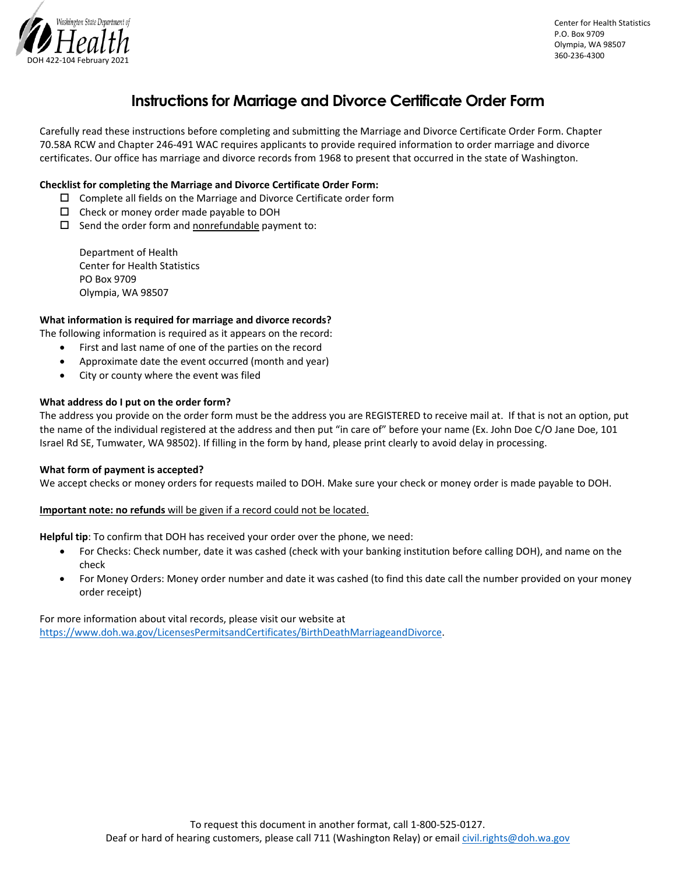

## **Instructions for Marriage and Divorce Certificate Order Form**

Carefully read these instructions before completing and submitting the Marriage and Divorce Certificate Order Form. Chapter 70.58A RCW and Chapter 246-491 WAC requires applicants to provide required information to order marriage and divorce certificates. Our office has marriage and divorce records from 1968 to present that occurred in the state of Washington.

### **Checklist for completing the Marriage and Divorce Certificate Order Form:**

- $\square$  Complete all fields on the Marriage and Divorce Certificate order form
- $\Box$  Check or money order made payable to DOH
- $\square$  Send the order form and nonrefundable payment to:

Department of Health Center for Health Statistics PO Box 9709 Olympia, WA 98507

#### **What information is required for marriage and divorce records?**

The following information is required as it appears on the record:

- First and last name of one of the parties on the record
- Approximate date the event occurred (month and year)
- City or county where the event was filed

#### **What address do I put on the order form?**

The address you provide on the order form must be the address you are REGISTERED to receive mail at. If that is not an option, put the name of the individual registered at the address and then put "in care of" before your name (Ex. John Doe C/O Jane Doe, 101 Israel Rd SE, Tumwater, WA 98502). If filling in the form by hand, please print clearly to avoid delay in processing.

#### **What form of payment is accepted?**

We accept checks or money orders for requests mailed to DOH. Make sure your check or money order is made payable to DOH.

#### **Important note: no refunds** will be given if a record could not be located.

**Helpful tip**: To confirm that DOH has received your order over the phone, we need:

- For Checks: Check number, date it was cashed (check with your banking institution before calling DOH), and name on the check
- For Money Orders: Money order number and date it was cashed (to find this date call the number provided on your money order receipt)

For more information about vital records, please visit our website at https://www.doh.wa.gov/LicensesPermitsandCertificates/BirthDeathMarriageandDivorce.